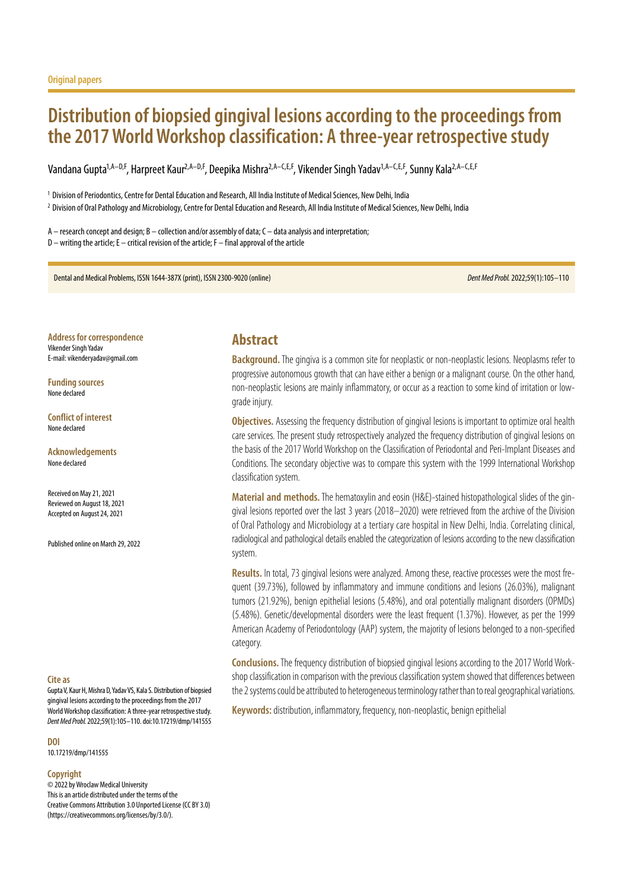# **Distribution of biopsied gingival lesions according to the proceedings from the 2017 World Workshop classification: A three-year retrospective study**

Vandana Gupta<sup>1,A–D,F</sup>, Harpreet Kaur<sup>2,A–D,F</sup>, Deepika Mishra<sup>2,A–C,E,F</sup>, Vikender Singh Yadav<sup>1,A–C,E,F</sup>, Sunny Kala<sup>2,A–C,E,F</sup>

<sup>1</sup> Division of Periodontics, Centre for Dental Education and Research, All India Institute of Medical Sciences, New Delhi, India

<sup>2</sup> Division of Oral Pathology and Microbiology, Centre for Dental Education and Research, All India Institute of Medical Sciences, New Delhi, India

A – research concept and design; B – collection and/or assembly of data; C – data analysis and interpretation; D – writing the article; E – critical revision of the article; F – final approval of the article

Dental and Medical Problems, ISSN 1644-387X (print), ISSN 2300-9020 (online) *Dent Med Probl.* 2022;59(1):105–110

**Address for correspondence** Vikender Singh Yadav E-mail: vikenderyadav@gmail.com

**Funding sources** None declared

**Conflict of interest** None declared

**Acknowledgements** None declared

Received on May 21, 2021 Reviewed on August 18, 2021 Accepted on August 24, 2021

Published online on March 29, 2022

#### **Cite as**

Gupta V, Kaur H, Mishra D, Yadav VS, Kala S. Distribution of biopsied gingival lesions according to the proceedings from the 2017 World Workshop classification: A three-year retrospective study. *Dent Med Probl.* 2022;59(1):105–110. doi:10.17219/dmp/141555

**DOI**

10.17219/dmp/141555

#### **Copyright**

© 2022 by Wroclaw Medical University This is an article distributed under the terms of the Creative Commons Attribution 3.0 Unported License (CC BY 3.0) [\(https://creativecommons.org/licenses/by/3.0/\)](https://creativecommons.org/licenses/by/3.0/).

## **Abstract**

Background. The gingiva is a common site for neoplastic or non-neoplastic lesions. Neoplasms refer to progressive autonomous growth that can have either a benign or a malignant course. On the other hand, non-neoplastic lesions are mainly inflammatory, or occur as a reaction to some kind of irritation or lowgrade injury.

**Objectives.** Assessing the frequency distribution of gingival lesions is important to optimize oral health care services. The present study retrospectively analyzed the frequency distribution of gingival lesions on the basis of the 2017 World Workshop on the Classification of Periodontal and Peri-Implant Diseases and Conditions. The secondary objective was to compare this system with the 1999 International Workshop classification system.

**Material and methods.** The hematoxylin and eosin (H&E)-stained histopathological slides of the gingival lesions reported over the last 3 years (2018–2020) were retrieved from the archive of the Division of Oral Pathology and Microbiology at a tertiary care hospital in New Delhi, India. Correlating clinical, radiological and pathological details enabled the categorization of lesions according to the new classification system.

**Results.** In total, 73 gingival lesions were analyzed. Among these, reactive processes were the most frequent (39.73%), followed by inflammatory and immune conditions and lesions (26.03%), malignant tumors (21.92%), benign epithelial lesions (5.48%), and oral potentially malignant disorders (OPMDs) (5.48%). Genetic/developmental disorders were the least frequent (1.37%). However, as per the 1999 American Academy of Periodontology (AAP) system, the majority of lesions belonged to a non-specified category.

**Conclusions.**The frequency distribution of biopsied gingival lesions according to the 2017 World Workshop classification in comparison with the previous classification system showed that differences between the 2 systems could be attributed to heterogeneous terminology rather than to real geographical variations.

**Keywords:** distribution, inflammatory, frequency, non-neoplastic, benign epithelial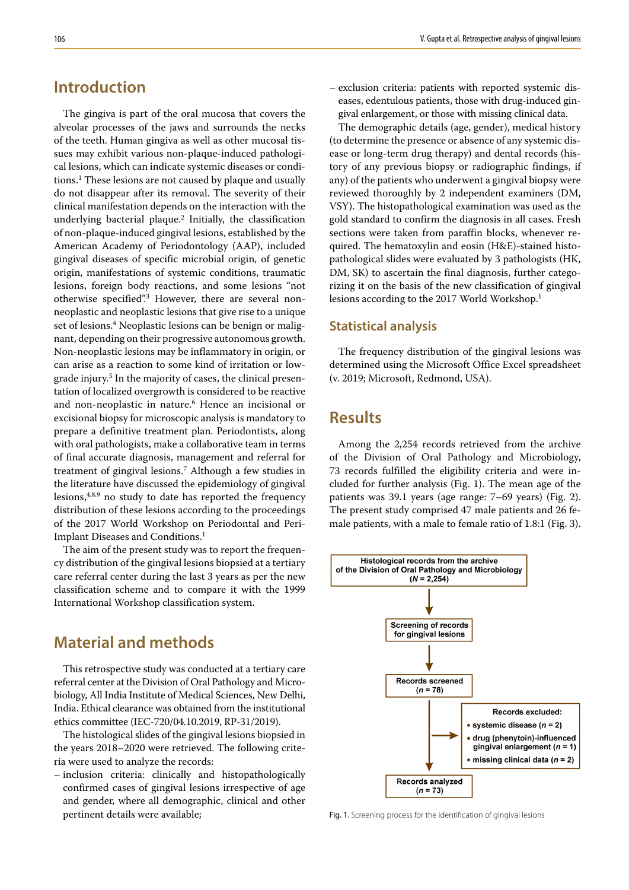# **Introduction**

The gingiva is part of the oral mucosa that covers the alveolar processes of the jaws and surrounds the necks of the teeth. Human gingiva as well as other mucosal tissues may exhibit various non-plaque-induced pathological lesions, which can indicate systemic diseases or conditions.1 These lesions are not caused by plaque and usually do not disappear after its removal. The severity of their clinical manifestation depends on the interaction with the underlying bacterial plaque.2 Initially, the classification of non-plaque-induced gingival lesions, established by the American Academy of Periodontology (AAP), included gingival diseases of specific microbial origin, of genetic origin, manifestations of systemic conditions, traumatic lesions, foreign body reactions, and some lesions "not otherwise specified".<sup>3</sup> However, there are several nonneoplastic and neoplastic lesions that give rise to a unique set of lesions.<sup>4</sup> Neoplastic lesions can be benign or malignant, depending on their progressive autonomous growth. Non-neoplastic lesions may be inflammatory in origin, or can arise as a reaction to some kind of irritation or lowgrade injury.<sup>5</sup> In the majority of cases, the clinical presentation of localized overgrowth is considered to be reactive and non-neoplastic in nature.<sup>6</sup> Hence an incisional or excisional biopsy for microscopic analysis is mandatory to prepare a definitive treatment plan. Periodontists, along with oral pathologists, make a collaborative team in terms of final accurate diagnosis, management and referral for treatment of gingival lesions.7 Although a few studies in the literature have discussed the epidemiology of gingival lesions, $4,8,9$  no study to date has reported the frequency distribution of these lesions according to the proceedings of the 2017 World Workshop on Periodontal and Peri-Implant Diseases and Conditions.<sup>1</sup>

The aim of the present study was to report the frequency distribution of the gingival lesions biopsied at a tertiary care referral center during the last 3 years as per the new classification scheme and to compare it with the 1999 International Workshop classification system.

## **Material and methods**

This retrospective study was conducted at a tertiary care referral center at the Division of Oral Pathology and Microbiology, All India Institute of Medical Sciences, New Delhi, India. Ethical clearance was obtained from the institutional ethics committee (IEC-720/04.10.2019, RP-31/2019).

The histological slides of the gingival lesions biopsied in the years 2018–2020 were retrieved. The following criteria were used to analyze the records:

– inclusion criteria: clinically and histopathologically confirmed cases of gingival lesions irrespective of age and gender, where all demographic, clinical and other pertinent details were available;

– exclusion criteria: patients with reported systemic diseases, edentulous patients, those with drug-induced gingival enlargement, or those with missing clinical data.

The demographic details (age, gender), medical history (to determine the presence or absence of any systemic disease or long-term drug therapy) and dental records (history of any previous biopsy or radiographic findings, if any) of the patients who underwent a gingival biopsy were reviewed thoroughly by 2 independent examiners (DM, VSY). The histopathological examination was used as the gold standard to confirm the diagnosis in all cases. Fresh sections were taken from paraffin blocks, whenever required. The hematoxylin and eosin (H&E)-stained histopathological slides were evaluated by 3 pathologists (HK, DM, SK) to ascertain the final diagnosis, further categorizing it on the basis of the new classification of gingival lesions according to the 2017 World Workshop.<sup>1</sup>

### **Statistical analysis**

The frequency distribution of the gingival lesions was determined using the Microsoft Office Excel spreadsheet (v. 2019; Microsoft, Redmond, USA).

# **Results**

Among the 2,254 records retrieved from the archive of the Division of Oral Pathology and Microbiology, 73 records fulfilled the eligibility criteria and were included for further analysis (Fig. 1). The mean age of the patients was 39.1 years (age range: 7–69 years) (Fig. 2). The present study comprised 47 male patients and 26 female patients, with a male to female ratio of 1.8:1 (Fig. 3).



Fig. 1. Screening process for the identification of gingival lesions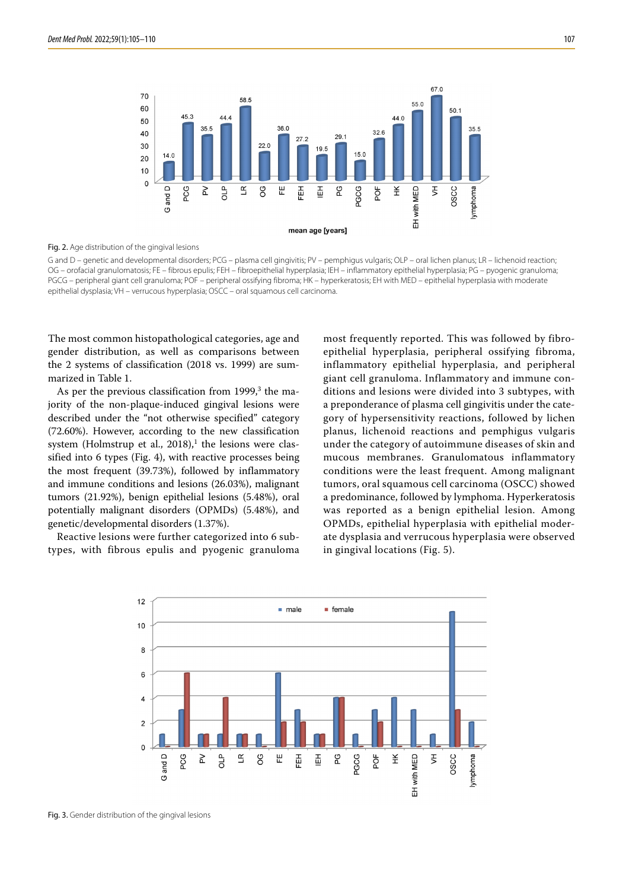

#### Fig. 2. Age distribution of the gingival lesions

G and D – genetic and developmental disorders; PCG – plasma cell gingivitis; PV – pemphigus vulgaris; OLP – oral lichen planus; LR – lichenoid reaction; OG – orofacial granulomatosis; FE – fibrous epulis; FEH – fibroepithelial hyperplasia; IEH – inflammatory epithelial hyperplasia; PG – pyogenic granuloma; PGCG – peripheral giant cell granuloma; POF – peripheral ossifying fibroma; HK – hyperkeratosis; EH with MED – epithelial hyperplasia with moderate epithelial dysplasia; VH – verrucous hyperplasia; OSCC – oral squamous cell carcinoma.

The most common histopathological categories, age and gender distribution, as well as comparisons between the 2 systems of classification (2018 vs. 1999) are summarized in Table 1.

As per the previous classification from 1999,<sup>3</sup> the majority of the non-plaque-induced gingival lesions were described under the "not otherwise specified" category (72.60%). However, according to the new classification system (Holmstrup et al.,  $2018$ ),<sup>1</sup> the lesions were classified into 6 types (Fig. 4), with reactive processes being the most frequent (39.73%), followed by inflammatory and immune conditions and lesions (26.03%), malignant tumors (21.92%), benign epithelial lesions (5.48%), oral potentially malignant disorders (OPMDs) (5.48%), and genetic/developmental disorders (1.37%).

Reactive lesions were further categorized into 6 subtypes, with fibrous epulis and pyogenic granuloma most frequently reported. This was followed by fibroepithelial hyperplasia, peripheral ossifying fibroma, inflammatory epithelial hyperplasia, and peripheral giant cell granuloma. Inflammatory and immune conditions and lesions were divided into 3 subtypes, with a preponderance of plasma cell gingivitis under the category of hypersensitivity reactions, followed by lichen planus, lichenoid reactions and pemphigus vulgaris under the category of autoimmune diseases of skin and mucous membranes. Granulomatous inflammatory conditions were the least frequent. Among malignant tumors, oral squamous cell carcinoma (OSCC) showed a predominance, followed by lymphoma. Hyperkeratosis was reported as a benign epithelial lesion. Among OPMDs, epithelial hyperplasia with epithelial moderate dysplasia and verrucous hyperplasia were observed in gingival locations (Fig. 5).



Fig. 3. Gender distribution of the gingival lesions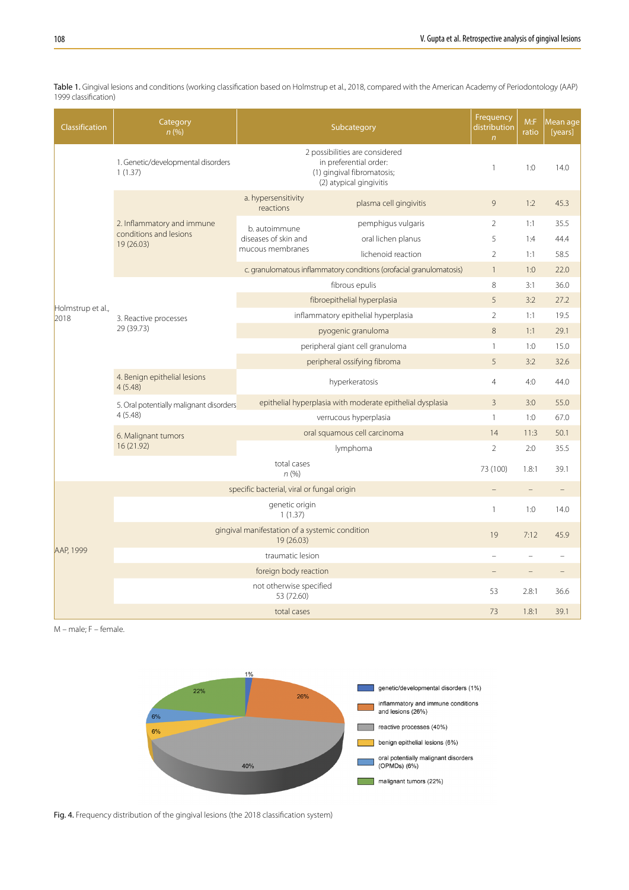| <b>Classification</b>     | Category<br>n(%)                                                  |                                                           | Subcategory                                                                                                       | Frequency<br>distribution<br>$\overline{n}$ | M: F<br>ratio  | Mean age<br>[years] |
|---------------------------|-------------------------------------------------------------------|-----------------------------------------------------------|-------------------------------------------------------------------------------------------------------------------|---------------------------------------------|----------------|---------------------|
| Holmstrup et al.,<br>2018 | 1. Genetic/developmental disorders<br>1(1.37)                     |                                                           | 2 possibilities are considered<br>in preferential order:<br>(1) gingival fibromatosis;<br>(2) atypical gingivitis | $\mathbf{1}$                                | 1:0            | 14.0                |
|                           | 2. Inflammatory and immune<br>conditions and lesions<br>19(26.03) | a. hypersensitivity<br>reactions                          | plasma cell gingivitis                                                                                            | 9                                           | 1:2            | 45.3                |
|                           |                                                                   | b. autoimmune<br>diseases of skin and<br>mucous membranes | pemphigus vulgaris                                                                                                | $\overline{2}$                              | 1:1            | 35.5                |
|                           |                                                                   |                                                           | oral lichen planus                                                                                                | 5                                           | 1:4            | 44.4                |
|                           |                                                                   |                                                           | lichenoid reaction                                                                                                | $\overline{2}$                              | 1:1            | 58.5                |
|                           |                                                                   |                                                           | c. granulomatous inflammatory conditions (orofacial granulomatosis)                                               | $\mathbf{1}$                                | 1:0            | 22.0                |
|                           | 3. Reactive processes<br>29 (39.73)                               |                                                           | fibrous epulis                                                                                                    | 8                                           | 3:1            | 36.0                |
|                           |                                                                   | fibroepithelial hyperplasia                               |                                                                                                                   | 5                                           | 3:2            | 27.2                |
|                           |                                                                   | inflammatory epithelial hyperplasia                       |                                                                                                                   | $\overline{2}$                              | 1:1            | 19.5                |
|                           |                                                                   | pyogenic granuloma                                        |                                                                                                                   | 8                                           | 1:1            | 29.1                |
|                           |                                                                   | peripheral giant cell granuloma                           |                                                                                                                   | $\mathbf{1}$                                | 1:0            | 15.0                |
|                           |                                                                   | peripheral ossifying fibroma                              |                                                                                                                   | 5                                           | 3:2            | 32.6                |
|                           | 4. Benign epithelial lesions<br>4(5.48)                           | hyperkeratosis                                            |                                                                                                                   | $\overline{4}$                              | 4:0            | 44.0                |
|                           | 5. Oral potentially malignant disorders                           | epithelial hyperplasia with moderate epithelial dysplasia |                                                                                                                   | $\overline{3}$                              | 3:0            | 55.0                |
|                           | 4(5.48)                                                           |                                                           | verrucous hyperplasia                                                                                             | $\mathbf{1}$                                | 1:0            | 67.0                |
|                           | 6. Malignant tumors<br>16 (21.92)                                 | oral squamous cell carcinoma                              |                                                                                                                   | 14                                          | 11:3           | 50.1                |
|                           |                                                                   |                                                           | lymphoma                                                                                                          | $\overline{2}$                              | 2:0            | 35.5                |
|                           | total cases<br>n(%)                                               |                                                           |                                                                                                                   | 73 (100)                                    | 1.8:1          | 39.1                |
| AAP, 1999                 | specific bacterial, viral or fungal origin                        |                                                           |                                                                                                                   |                                             | $\equiv$       | $\overline{a}$      |
|                           | genetic origin<br>1(1.37)                                         |                                                           |                                                                                                                   | $\mathbf{1}$                                | 1:0            | 14.0                |
|                           | gingival manifestation of a systemic condition<br>19 (26.03)      |                                                           |                                                                                                                   | 19                                          | 7:12           | 45.9                |
|                           | traumatic lesion                                                  |                                                           |                                                                                                                   |                                             | $\overline{a}$ |                     |
|                           | foreign body reaction                                             |                                                           |                                                                                                                   |                                             | $\equiv$       |                     |
|                           | not otherwise specified<br>53 (72.60)                             |                                                           |                                                                                                                   | 53                                          | 2.8:1          | 36.6                |
|                           | total cases                                                       |                                                           |                                                                                                                   | 73                                          | 1.8:1          | 39.1                |

Table 1. Gingival lesions and conditions (working classification based on Holmstrup et al., 2018, compared with the American Academy of Periodontology (AAP) 1999 classification)

M – male; F – female.



Fig. 4. Frequency distribution of the gingival lesions (the 2018 classification system)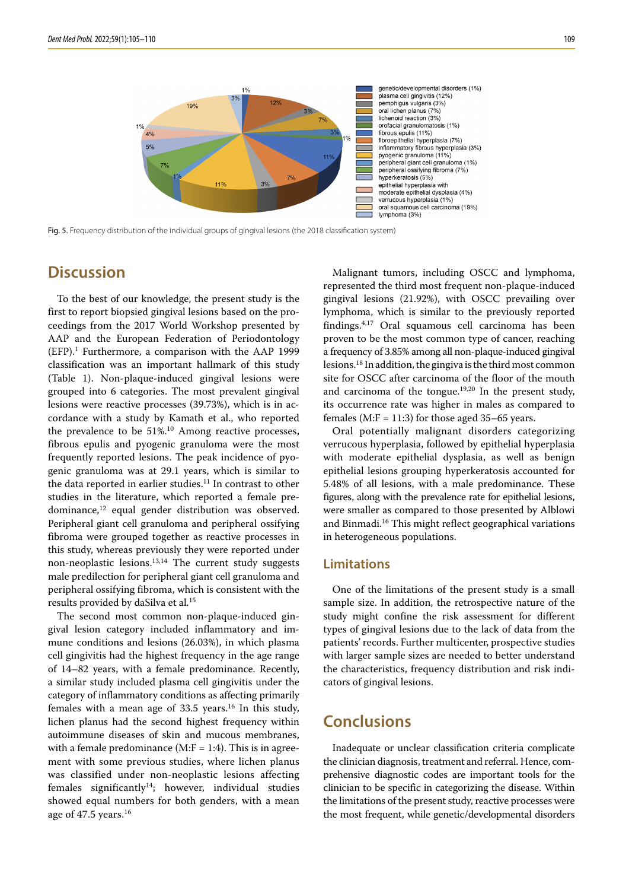

Fig. 5. Frequency distribution of the individual groups of gingival lesions (the 2018 classification system)

# **Discussion**

To the best of our knowledge, the present study is the first to report biopsied gingival lesions based on the proceedings from the 2017 World Workshop presented by AAP and the European Federation of Periodontology (EFP).1 Furthermore, a comparison with the AAP 1999 classification was an important hallmark of this study (Table 1). Non-plaque-induced gingival lesions were grouped into 6 categories. The most prevalent gingival lesions were reactive processes (39.73%), which is in accordance with a study by Kamath et al., who reported the prevalence to be 51%.<sup>10</sup> Among reactive processes, fibrous epulis and pyogenic granuloma were the most frequently reported lesions. The peak incidence of pyogenic granuloma was at 29.1 years, which is similar to the data reported in earlier studies.<sup>11</sup> In contrast to other studies in the literature, which reported a female predominance, $12$  equal gender distribution was observed. Peripheral giant cell granuloma and peripheral ossifying fibroma were grouped together as reactive processes in this study, whereas previously they were reported under non-neoplastic lesions. $13,14$  The current study suggests male predilection for peripheral giant cell granuloma and peripheral ossifying fibroma, which is consistent with the results provided by daSilva et al.15

The second most common non-plaque-induced gingival lesion category included inflammatory and immune conditions and lesions (26.03%), in which plasma cell gingivitis had the highest frequency in the age range of 14–82 years, with a female predominance. Recently, a similar study included plasma cell gingivitis under the category of inflammatory conditions as affecting primarily females with a mean age of  $33.5$  years.<sup>16</sup> In this study, lichen planus had the second highest frequency within autoimmune diseases of skin and mucous membranes, with a female predominance  $(M:F = 1:4)$ . This is in agreement with some previous studies, where lichen planus was classified under non-neoplastic lesions affecting  $f$ emales significantly<sup>14</sup>; however, individual studies showed equal numbers for both genders, with a mean age of  $47.5$  years.<sup>16</sup>

Malignant tumors, including OSCC and lymphoma, represented the third most frequent non-plaque-induced gingival lesions (21.92%), with OSCC prevailing over lymphoma, which is similar to the previously reported findings.4,17 Oral squamous cell carcinoma has been proven to be the most common type of cancer, reaching a frequency of 3.85% among all non-plaque-induced gingival lesions.18 In addition, the gingiva is the third most common site for OSCC after carcinoma of the floor of the mouth and carcinoma of the tongue.19,20 In the present study, its occurrence rate was higher in males as compared to females (M:F = 11:3) for those aged  $35-65$  years.

Oral potentially malignant disorders categorizing verrucous hyperplasia, followed by epithelial hyperplasia with moderate epithelial dysplasia, as well as benign epithelial lesions grouping hyperkeratosis accounted for 5.48% of all lesions, with a male predominance. These figures, along with the prevalence rate for epithelial lesions, were smaller as compared to those presented by Alblowi and Binmadi.16 This might reflect geographical variations in heterogeneous populations.

### **Limitations**

One of the limitations of the present study is a small sample size. In addition, the retrospective nature of the study might confine the risk assessment for different types of gingival lesions due to the lack of data from the patients' records. Further multicenter, prospective studies with larger sample sizes are needed to better understand the characteristics, frequency distribution and risk indicators of gingival lesions.

## **Conclusions**

Inadequate or unclear classification criteria complicate the clinician diagnosis, treatment and referral. Hence, comprehensive diagnostic codes are important tools for the clinician to be specific in categorizing the disease. Within the limitations of the present study, reactive processes were the most frequent, while genetic/developmental disorders